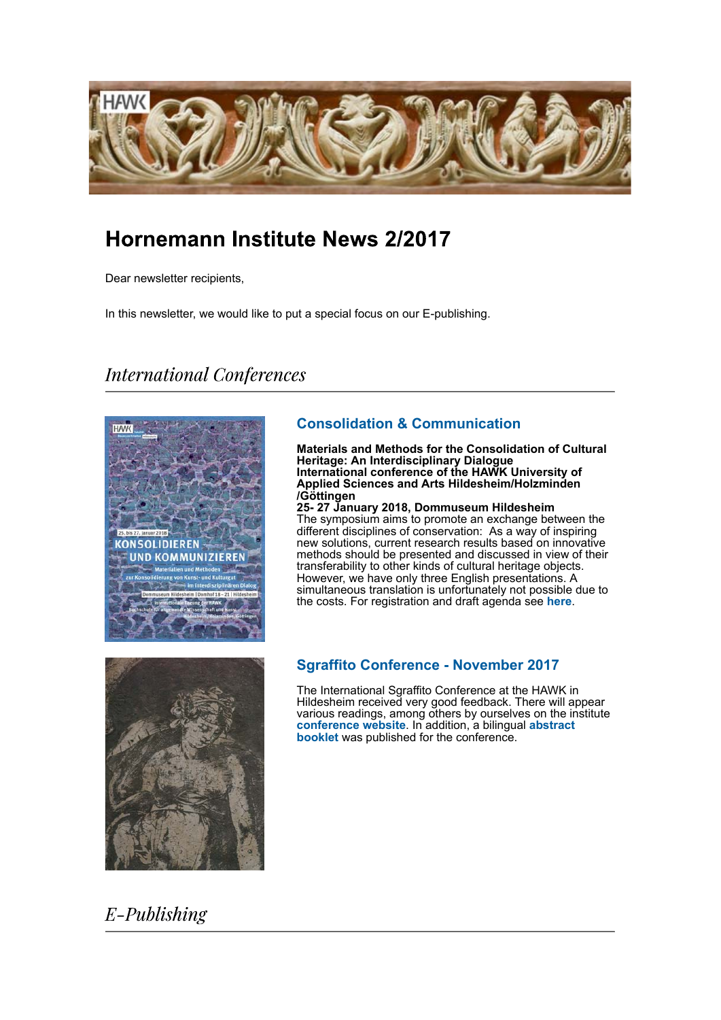

# Hornemann Institute News 2/2017

Dear newsletter recipients,

In this newsletter, we would like to put a special focus on our E-publishing.

# **International Conferences**



# **Consolidation & Communication**

**Materials and Methods for the Consolidation of Cultural Heritage: An Interdisciplinary Dialogue International conference of the HAWK University of Applied Sciences and Arts Hildesheim/Holzminden /Göttingen**

**25- 27 January 2018, Dommuseum Hildesheim** The symposium aims to promote an exchange between the different disciplines of conservation: As a way of inspiring new solutions, current research results based on innovative methods should be presented and discussed in view of their transferability to other kinds of cultural heritage objects. However, we have only three English presentations. A simultaneous translation is unfortunately not possible due to the costs. For registration and draft agenda see **here**.



### **Sgraffito Conference - November 2017**

The International Sgraffito Conference at the HAWK in Hildesheim received very good feedback. There will appear various readings, among others by ourselves on the institute **conference website**. In addition, a bilingual **abstract booklet** was published for the conference.

# $E$ -Publishing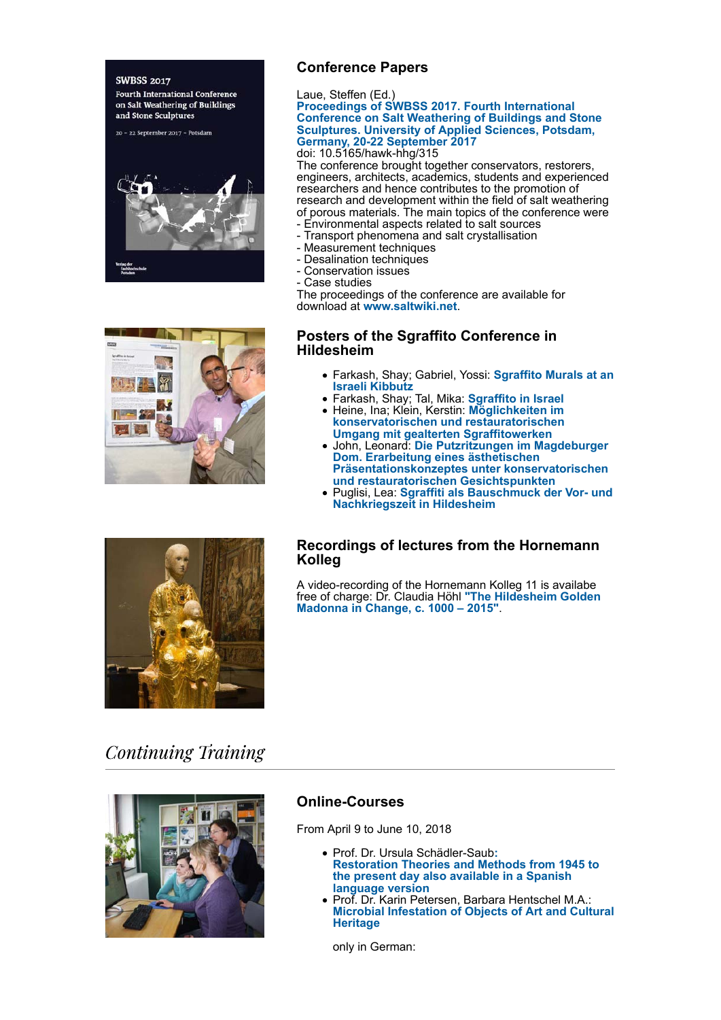#### **SWBSS 2017**

**Fourth International Conference** on Salt Weathering of Buildings and Stone Sculptures

20 - 22 September 2017 - Potsdam





Laue, Steffen (Ed.)

**Proceedings of SWBSS 2017. Fourth International Conference on Salt Weathering of Buildings and Stone Sculptures. University of Applied Sciences, Potsdam, Germany, 20-22 September 2017**

doi: 10.5165/hawk-hhg/315

The conference brought together conservators, restorers, engineers, architects, academics, students and experienced researchers and hence contributes to the promotion of research and development within the field of salt weathering of porous materials. The main topics of the conference were

- Environmental aspects related to salt sources
- Transport phenomena and salt crystallisation
- Measurement techniques
- Desalination techniques
- Conservation issues
- Case studies

The proceedings of the conference are available for download at **www.saltwiki.net**.

### **Posters of the Sgraffito Conference in Hildesheim**

- Farkash, Shay; Gabriel, Yossi: **Sgraffito Murals at an Israeli Kibbutz**
- Farkash, Shay; Tal, Mika: **Sgraffito in Israel**
- Heine, Ina; Klein, Kerstin: **Möglichkeiten im konservatorischen und restauratorischen Umgang mit gealterten Sgraffitowerken**
- John, Leonard: **Die Putzritzungen im Magdeburger Dom. Erarbeitung eines ästhetischen Präsentationskonzeptes unter konservatorischen und restauratorischen Gesichtspunkten**
- Puglisi, Lea: **Sgraffiti als Bauschmuck der Vor- und Nachkriegszeit in Hildesheim**

### **Recordings of lectures from the Hornemann Kolleg**

A video-recording of the Hornemann Kolleg 11 is availabe free of charge: Dr. Claudia Höhl **"The Hildesheim Golden Madonna in Change, c. 1000 – 2015"**.



# **Continuing Training**



### **Online-Courses**

From April 9 to June 10, 2018

- Prof. Dr. Ursula Schädler-Saub**: Restoration Theories and Methods from 1945 to the present day also available in a Spanish language version**
- Prof. Dr. Karin Petersen, Barbara Hentschel M.A.: **Microbial Infestation of Objects of Art and Cultural Heritage**

only in German: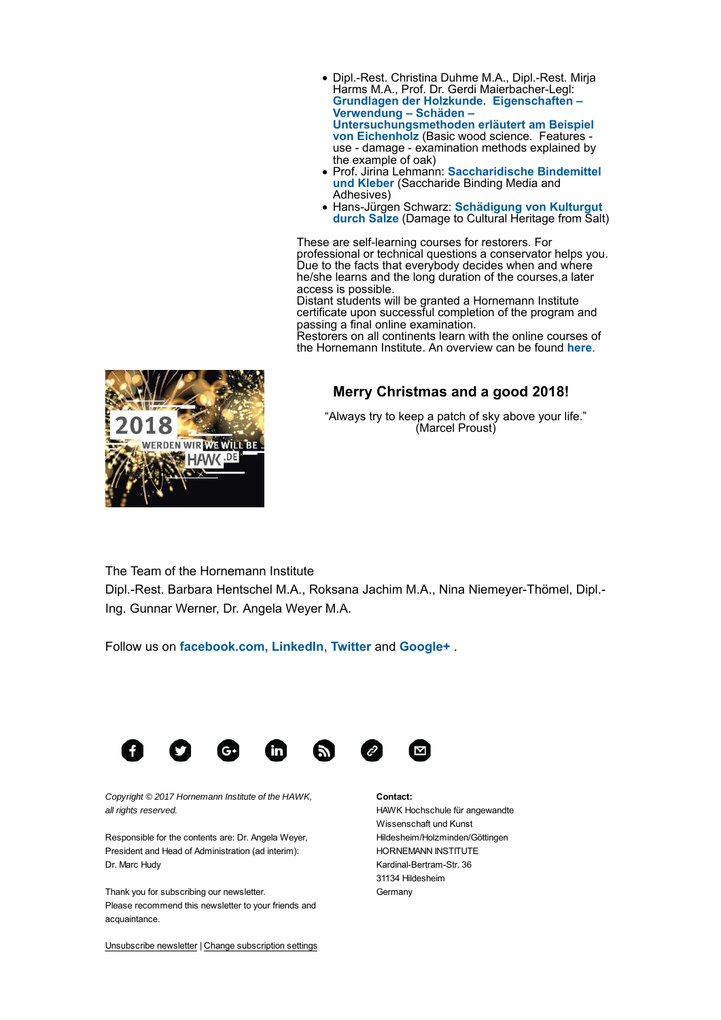- Dipl.-Rest. Christina Duhme M.A., Dipl.-Rest. Mirja Harms M.A., Prof. Dr. Gerdi Maierbacher-Legl: **Grundlagen der Holzkunde. Eigenschaften – Verwendung – Schäden – Untersuchungsmethoden erläutert am Beispiel von Eichenholz** (Basic wood science. Features use - damage - examination methods explained by the example of oak)
- Prof. Jirina Lehmann: **Saccharidische Bindemittel und Kleber** (Saccharide Binding Media and Adhesives)
- Hans-Jürgen Schwarz: **Schädigung von Kulturgut durch Salze** (Damage to Cultural Heritage from Salt)

These are self-learning courses for restorers. For professional or technical questions a conservator helps you. Due to the facts that everybody decides when and where he/she learns and the long duration of the courses,a later access is possible.

Distant students will be granted a Hornemann Institute certificate upon successful completion of the program and passing a final online examination.

Restorers on all continents learn with the online courses of the Hornemann Institute. An overview can be found **here**.

## **Merry Christmas and a good 2018!**

"Always try to keep a patch of sky above your life." (Marcel Proust)



The Team of the Hornemann Institute

Dipl.-Rest. Barbara Hentschel M.A., Roksana Jachim M.A., Nina Niemeyer-Thömel, Dipl.- Ing. Gunnar Werner, Dr. Angela Weyer M.A.

Follow us on **facebook.com, LinkedIn**, **Twitter** and **Google+** .



*Copyright © 2017 Hornemann Institute of the HAWK, all rights reserved.*

Responsible for the contents are: Dr. Angela Weyer, President and Head of Administration (ad interim): Dr. Marc Hudy

Thank you for subscribing our newsletter. Please recommend this newsletter to your friends and acquaintance.

**Contact:** HAWK Hochschule für angewandte Wissenschaft und Kunst Hildesheim/Holzminden/Göttingen HORNEMANN INSTITUTE Kardinal-Bertram-Str. 36 31134 Hildesheim Germany

Unsubscribe newsletter | Change subscription settings